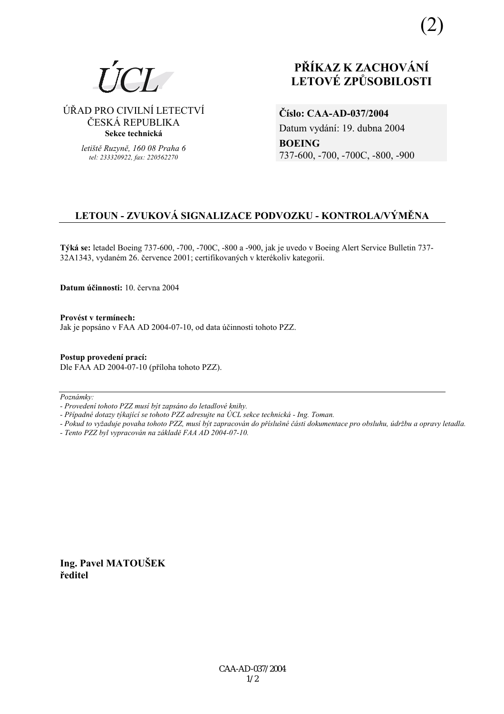(2)

### ÚŘAD PRO CIVILNÍ LETECTVÍ ČESKÁ REPUBLIKA **Sekce technická**

*letiötě Ruzyně, 160 08 Praha 6 tel: 233320922, fax: 220562270*

# **PŘÍKAZ K ZACHOVÁNÍ LETOV… ZPŮSOBILOSTI**

**ČÌslo: CAA-AD-037/2004**  Datum vydání: 19. dubna 2004 **BOEING** 737-600, -700, -700C, -800, -900

## **LETOUN - ZVUKOV£ SIGNALIZACE PODVOZKU - KONTROLA/V›MĚNA**

**T˝k· se:** letadel Boeing 737-600, -700, -700C, -800 a -900, jak je uvedo v Boeing Alert Service Bulletin 737- 32A1343, vydaném 26. července 2001; certifikovaných v kterékoliv kategorii.

**Datum ˙činnosti:** 10. června 2004

Provést v termínech: Jak je popsáno v FAA AD 2004-07-10, od data účinnosti tohoto PZZ.

**Postup provedenÌ pracÌ:**  Dle FAA AD 2004-07-10 (přÌloha tohoto PZZ).

 $Poznámkv:$ 

*- ProvedenÌ tohoto PZZ musÌ b˝t zaps·no do letadlovÈ knihy.* 

- Případné dotazy týkající se tohoto PZZ adresujte na ÚCL sekce technická - Ing. Toman.

*- Pokud to vyûaduje povaha tohoto PZZ, musÌ b˝t zapracov·n do přÌsluönÈ č·sti dokumentace pro obsluhu, ˙drûbu a opravy letadla.* 

*- Tento PZZ byl vypracov·n na z·kladě FAA AD 2004-07-10.* 

**Ing. Pavel MATOUäEK ředitel**